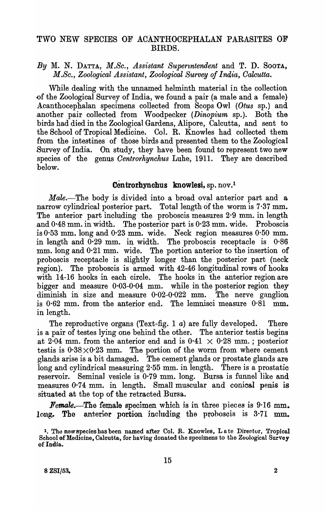## TWO NEW SPECIES OF ACANTHOCEPHALAN PARASITES OF BIRDS.

*By* M. N. DATTA, *M.Sc., Assistant Supermendent* and T. D. SOOTA, *M .Sc., Zoological Assistant, Zoological Survey of India, Oalcutta.* 

While dealing with the unnamed helminth material in the collection -of the Zoological Survey of India, we found a pair (a male and a female) Acanthocephalan specimens collected from Scops Owl *(Otus* sp.) and .another pair collected from Woodpecker *(Dinopium* sp.). Both the birds had died in the Zoological Gardens, Alipore, Calcutta, and sent to the School of Tropical Medicine. Col. R. Knowles had collected them from the intestines of those birds and presented them to the Zoological Survey of India. On study, they have been found to represent two new species of the genus *Oentrorhynchus* Luhe, 1911. They are described below.

## Centrorhynchus knowlesi, sp. nov.<sup>1</sup>

*Male.-The* body is divided into a broad oval anterior part and a narrow cylindrical posterior part. Total length of the worm is 7·37 mm. The anterior part including the proboscis measures 2.9 mm. in length and  $0.48$  mm. in width. The posterior part is  $0.23$  mm. wide. Proboscis is 0·53 mm. long and 0·23 mm. wide. Neck region measures 0·50 mm. in length and 0·29 mm. in width. The proboscis receptacle is 0·86 mm. long and  $0.21$  mm. wide. The portion anterior to the insertion of proboscis receptacle is slightly longer than the posterior part (neck region). The proboscis is armed with 42-46 longitudinal rows of hooks with 14-16 hooks in each circle. The hooks in the anterior region are bigger and measure 0·03-0·04 mm. while in the posterior region they diminish in size and measure  $0.02{\text -}0.022$  mm. The nerve ganglion is 0·62 mm. from the anterior end. The lemnisci measure 0·81 mm. in length.

The reproductive organs (Text-fig. 1 *a*) are fully developed. There is a pair of testes lying one behind the other. The anterior testis begins at 2.04 mm. from the anterior end and is  $0.41 \times 0.28$  mm.; posterior testis is  $0.38 \times 0.23$  mm. The portion of the worm from where cement glands arise is a bit damaged. The cement glands or prostate glands are long and cylindrical measuring 2·55 mm. in length. There is a prostatic reservoir. Semina] vesicle is 0·79 mm. long. Bursa is funnel like and measures 0.74 mm. in length. Small muscular and conical penis is situated at the top of the retracted Bursa.

*I'emale.*-The female specimen which is in three pieces is 9.16 mm. long. The anterior portion including the proboscis is  $3.71 \text{ mm}$ .

<sup>&</sup>lt;sup>1</sup>. The new species has been named after Col. R. Knowles, Late Director, Tropical School of Medicine, Caloutta, for having donated the speoimens to the Zoological Survey of India.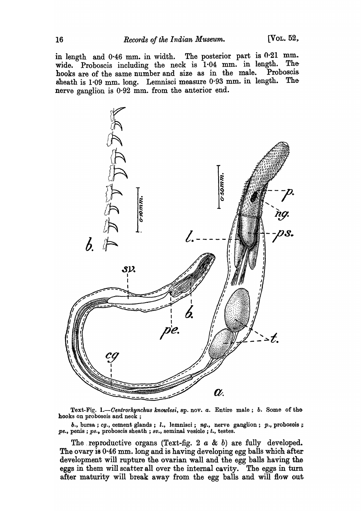in length and  $0.46$  mm. in width. The posterior part is  $0.21$  mm. wide. Proboscis including the neck is 1.04 mm. in length. The hooks are of the same number and size as in the male. Proboscis sheath is 1.09 mm. long. Lemnisci measure 0.93 mm. in length. The nerve ganglion is  $0.92$  mm. from the anterior end.



Text-Fig. 1.-Centrorhynchus knowlesi, sp. nov. a. Entire male; b. Some of the hooks on proboscis and neck;

b., bursa; cg., cement glands; l., lemnisci; ng., nerve ganglion; p., proboscis; pe., penis ; ps., proboscis sheath ; sv., seminal vesicle ; t., testes.

The reproductive organs (Text-fig. 2  $a \& b$ ) are fully developed. The ovary is 0.46 mm. long and is having developing egg balls which after development will rupture the ovarian wall and the egg balls having the eggs in them will scatter all over the internal cavity. The eggs in turn after maturity will break away from the egg balls and will flow out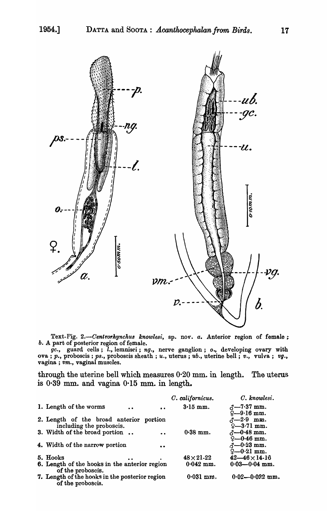

Text-Fig. 2.-Centrorhynchus knowlesi, sp. nov. *a*. Anterior region of female; *b.* A part of posterior region of female.

*gc.,* guard cells; l., lemnisci; *ng.,* nerve ganglion; *0.,* developing ovary with ova; *p.*, proboscis; *ps.*, proboscis sheath; *u.*, uterus; *ub.*, uterine bell; *v.*, vulva; *vg.*, vagina; *vm.,* vaginal muscles.

through the uterine bell which measures 0·20 mm. in length. The uterus is  $0.39$  mm. and vagina  $0.15$  mm. in length.

|                                                |                  | C. californicus. | C. knowlesi.             |
|------------------------------------------------|------------------|------------------|--------------------------|
| 1. Length of the worms<br>$\bullet$            | $\bullet$        | $3.15$ mm.       | $\delta$ -7.37 mm.       |
|                                                |                  |                  | $\frac{1}{2}$ -9.16 mm.  |
| 2. Length of the broad anterior portion        |                  |                  | $\lambda - 2.9$ mm.      |
| including the proboscis.                       |                  |                  | $9 - 3.71$ mm.           |
| 3. Width of the broad portion                  | $\ddot{\bullet}$ | $0.38$ mm.       | $\sim -0.48$ mm.         |
|                                                |                  |                  | $9 - 0.46$ mm.           |
| 4. Width of the narrow portion                 | $\bullet$        |                  | $3 - 0.23$ mm.           |
|                                                |                  |                  | $9 - 0.21$ mm.           |
| 5. Hooks                                       |                  | $48\times21-22$  | $42 - 46 \times 14 - 16$ |
| 6. Length of the hooks in the anterior region  |                  | $0.042$ mm.      | $0.03 - 0.04$ mm.        |
| of the proboscis.                              |                  |                  |                          |
| 7. Length of the hooks in the posterior region |                  | $0.031$ mm.      | $0.02 - 0.022$ mm.       |
| of the proboscis.                              |                  |                  |                          |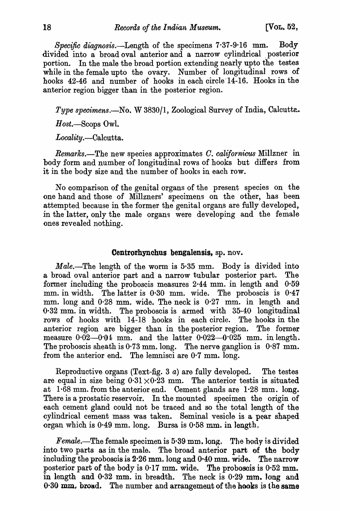*Specific diagnosis.-Length* of the specimens 7·37-9·16 mm.. Body divided into a broad oval anterior and a narrow cylindrical posterior portion. In the male the broad portion extending nearly upto the testes while in the female upto the ovary. Number of longitudinal rows of hooks 42-46 and number of hooks in each circle 14-16. Hooks in the anterior region bigger than in the posterior region.

*Type specimens.*—No. W 3830/1, Zoological Survey of India, Calcutte.

*H ost.-Scops* Owl.

*Locality.-Calcutta.* 

*Remarks.-The* new species approximates O. *californicus* Millzner in body form and number of longitudinal rows of hooks but differs from it in the body size and the number of hooks in each row.

No comparison of the genital organs of the present species on the one hand and those of Millzners' specimens on the other, has been attempted because in the former the genital organs are fully developed, in the latter, only the male organs were developing and the female ones revealed nothing.

## Centrorhynchus bengalensis, sp. nov.

*Male.*—The length of the worm is 5.35 mm. Body is divided into a broad oval anterior part and a narrow tubular posterior part. The former including the proboscis measures  $2.44$  mm. in length and  $0.59$ mm. in width. The latter is 0·30 mm. wide. The proboscis is 0·47 mm. long and 0·28 mm. wide. The neck is 0·27 mm. in length and 0·32 mm. in width. The proboscis is armed with 35-40 longitudinal rows of hooks with 14-18 hooks in each circle. The hooks in the anterior region are bigger than in the posterior region. The former measure  $0.02-0.04$  mm. and the latter  $0.022-0.025$  mm. in length. The proboscis sheath is  $0.73$  mm. long. The nerve ganglion is  $0.87$  mm. from the anterior end. The lemnisci are 0·7 mm. long.

Reproductive organs (Text-fig. 3  $a$ ) are fully developed. The testes are equal in size being  $0.31 \times 0.23$  mm. The anterior test is situated at 1·68 mm. from the anterior end. Cement glands are 1·28 mm. long. There is a prostatic reservoir. In the mounted specimen the origin of each cement gland could not be traced and so the total length of the cylindrical cement mass was taken. Seminal vesicle is a pear shaped organ which is  $0.49$  mm. long. Bursa is  $0.58$  mm. in length,

*Female.*—The female specimen is 5.39 mm. long. The body is divided into two parts as in the male. The broad anterior part of the body including the proboscis is  $2.26$  mm. long and  $0.40$  mm. wide. The narrow posterior part of the body is 0·17 mm. wide. The proboscis is 0·52 mm.. in length and 0·32 mm. in breadth. The neck is 0·29 mm. long and  $0.30$  mm. broad. The number and arrangement of the hooks is the same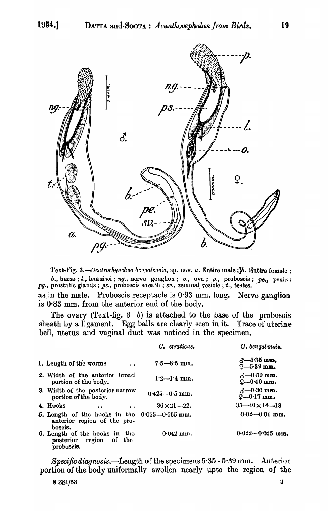

Text-Fig. 3.—Centrorhynchus bengalensis, sp. nov. a. Entire male; 1. Entire female; b., bursa; l., lemnisci; ng., nerve ganglion; o., ova; p., proboscis; pe., penis;  $pg.$ , prostatic glands ; ps., proboscis sheath ; sv., seminal vesicle ; t., testes.

as in the male. Proboscis receptacle is  $0.93$  mm. long. Nerve ganglion is 0.83 mm. from the anterior end of the body.

The ovary (Text-fig.  $3$  b) is attached to the base of the proboscis sheath by a ligament. Egg balls are clearly seen in it. Trace of uterine bell, uterus and vaginal duct was noticed in the specimen.

|                                                                                             |           | C. erraticus.         | $C.$ bengalensis.                                                                  |
|---------------------------------------------------------------------------------------------|-----------|-----------------------|------------------------------------------------------------------------------------|
| 1. Length of the worms                                                                      | $\bullet$ | $7.5 - 8.5$ mm.       | $\delta$ -5.35 mm.<br>$9 - 5.39$ mm.                                               |
| 2. Width of the anterior broad<br>portion of the body.                                      |           | $1.2 - 1.4$ mm.       | $\beta - 0.59$ mm.<br>$9 - 0.40$ mm.                                               |
| 3. Width of the posterior narrow<br>portion of the body.                                    |           | $0.425 - 0.5$ mm.     | $\substack{\text{$\triangle$} -0.30 \text{ mm}.}}$<br>$\Omega = 0.17 \text{ mm}$ . |
| 4. Hooks<br>$\bullet$ $\bullet$                                                             | $\bullet$ | $36 \times 21 - 22$ . | $35 - 40 \times 14 - 18$                                                           |
| 5. Length of the hooks in the $0.055 - 0.065$ mm.<br>anterior region of the pro-<br>boscis. |           |                       | $0.02 - 0.01$ mm.                                                                  |
| <b>6.</b> Length of the hooks in the<br>posterior region of the<br>proboscis.               |           | $0.042$ mm.           | $0.022 - 0.025$ mm.                                                                |

Specific diagnosis.—Length of the specimens  $5.35$  -  $5.39$  mm. Anterior portion of the body uniformally swollen nearly upto the region of the